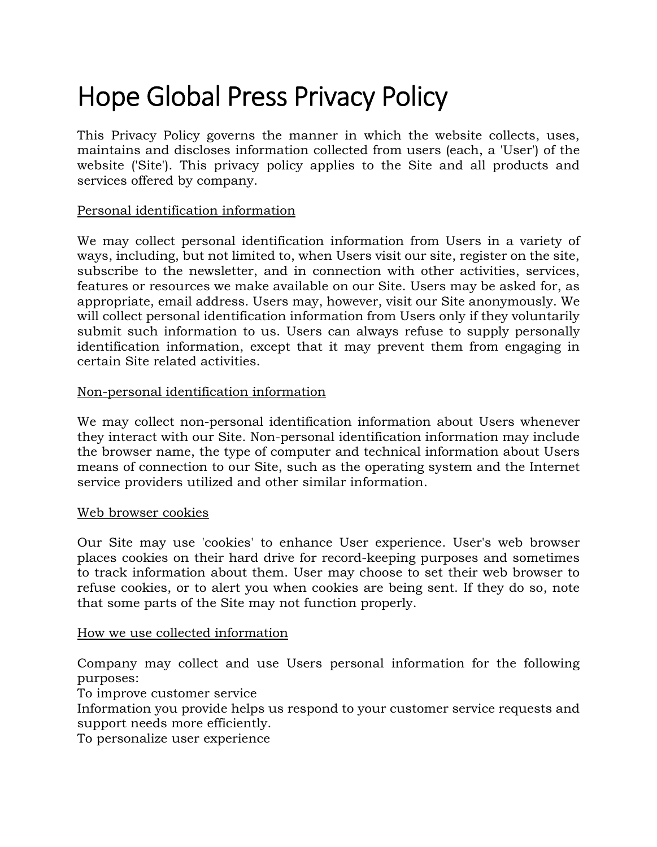# Hope Global Press Privacy Policy

This Privacy Policy governs the manner in which the website collects, uses, maintains and discloses information collected from users (each, a 'User') of the website ('Site'). This privacy policy applies to the Site and all products and services offered by company.

#### Personal identification information

We may collect personal identification information from Users in a variety of ways, including, but not limited to, when Users visit our site, register on the site, subscribe to the newsletter, and in connection with other activities, services, features or resources we make available on our Site. Users may be asked for, as appropriate, email address. Users may, however, visit our Site anonymously. We will collect personal identification information from Users only if they voluntarily submit such information to us. Users can always refuse to supply personally identification information, except that it may prevent them from engaging in certain Site related activities.

#### Non-personal identification information

We may collect non-personal identification information about Users whenever they interact with our Site. Non-personal identification information may include the browser name, the type of computer and technical information about Users means of connection to our Site, such as the operating system and the Internet service providers utilized and other similar information.

#### Web browser cookies

Our Site may use 'cookies' to enhance User experience. User's web browser places cookies on their hard drive for record-keeping purposes and sometimes to track information about them. User may choose to set their web browser to refuse cookies, or to alert you when cookies are being sent. If they do so, note that some parts of the Site may not function properly.

#### How we use collected information

Company may collect and use Users personal information for the following purposes:

To improve customer service

Information you provide helps us respond to your customer service requests and support needs more efficiently.

To personalize user experience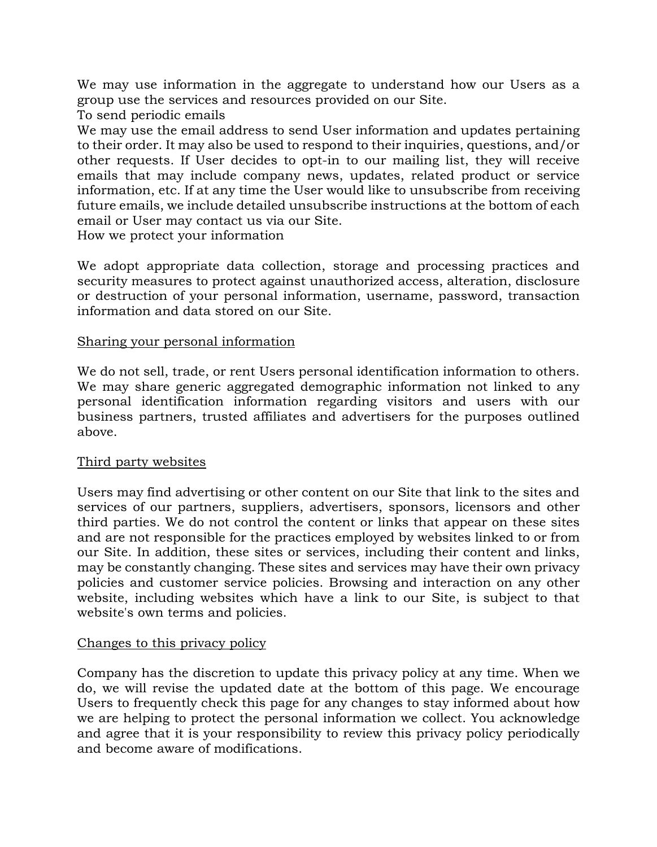We may use information in the aggregate to understand how our Users as a group use the services and resources provided on our Site.

To send periodic emails

We may use the email address to send User information and updates pertaining to their order. It may also be used to respond to their inquiries, questions, and/or other requests. If User decides to opt-in to our mailing list, they will receive emails that may include company news, updates, related product or service information, etc. If at any time the User would like to unsubscribe from receiving future emails, we include detailed unsubscribe instructions at the bottom of each email or User may contact us via our Site.

How we protect your information

We adopt appropriate data collection, storage and processing practices and security measures to protect against unauthorized access, alteration, disclosure or destruction of your personal information, username, password, transaction information and data stored on our Site.

### Sharing your personal information

We do not sell, trade, or rent Users personal identification information to others. We may share generic aggregated demographic information not linked to any personal identification information regarding visitors and users with our business partners, trusted affiliates and advertisers for the purposes outlined above.

## Third party websites

Users may find advertising or other content on our Site that link to the sites and services of our partners, suppliers, advertisers, sponsors, licensors and other third parties. We do not control the content or links that appear on these sites and are not responsible for the practices employed by websites linked to or from our Site. In addition, these sites or services, including their content and links, may be constantly changing. These sites and services may have their own privacy policies and customer service policies. Browsing and interaction on any other website, including websites which have a link to our Site, is subject to that website's own terms and policies.

## Changes to this privacy policy

Company has the discretion to update this privacy policy at any time. When we do, we will revise the updated date at the bottom of this page. We encourage Users to frequently check this page for any changes to stay informed about how we are helping to protect the personal information we collect. You acknowledge and agree that it is your responsibility to review this privacy policy periodically and become aware of modifications.